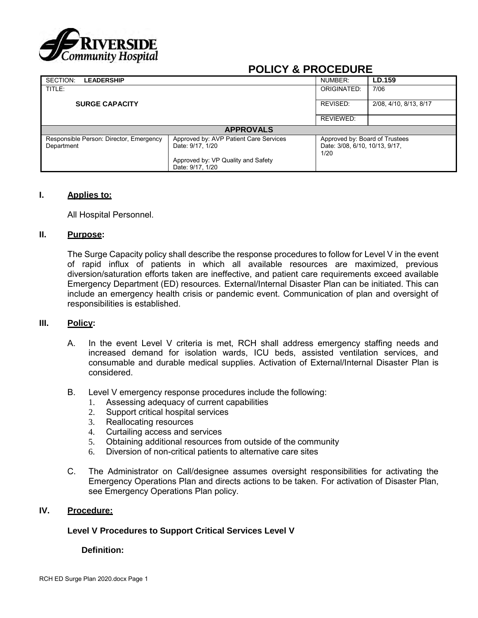

# **POLICY & PROCEDURE**

| SECTION:<br><b>LEADERSHIP</b>                         |                                                                                                  | NUMBER:     | LD.159                                                           |  |  |  |  |
|-------------------------------------------------------|--------------------------------------------------------------------------------------------------|-------------|------------------------------------------------------------------|--|--|--|--|
| TITLE:                                                |                                                                                                  | ORIGINATED: | 7/06                                                             |  |  |  |  |
| <b>SURGE CAPACITY</b>                                 |                                                                                                  | REVISED:    | 2/08, 4/10, 8/13, 8/17                                           |  |  |  |  |
|                                                       |                                                                                                  | REVIEWED:   |                                                                  |  |  |  |  |
| <b>APPROVALS</b>                                      |                                                                                                  |             |                                                                  |  |  |  |  |
| Responsible Person: Director, Emergency<br>Department | Approved by: AVP Patient Care Services<br>Date: 9/17, 1/20<br>Approved by: VP Quality and Safety | 1/20        | Approved by: Board of Trustees<br>Date: 3/08, 6/10, 10/13, 9/17, |  |  |  |  |
|                                                       | Date: 9/17, 1/20                                                                                 |             |                                                                  |  |  |  |  |

## **I. Applies to:**

All Hospital Personnel.

#### **II. Purpose:**

The Surge Capacity policy shall describe the response procedures to follow for Level V in the event of rapid influx of patients in which all available resources are maximized, previous diversion/saturation efforts taken are ineffective, and patient care requirements exceed available Emergency Department (ED) resources. External/Internal Disaster Plan can be initiated. This can include an emergency health crisis or pandemic event. Communication of plan and oversight of responsibilities is established.

## **III. Policy:**

- A. In the event Level V criteria is met, RCH shall address emergency staffing needs and increased demand for isolation wards, ICU beds, assisted ventilation services, and consumable and durable medical supplies. Activation of External/Internal Disaster Plan is considered.
- B. Level V emergency response procedures include the following:
	- 1. Assessing adequacy of current capabilities
	- 2. Support critical hospital services
	- 3. Reallocating resources
	- 4. Curtailing access and services
	- 5. Obtaining additional resources from outside of the community
	- 6. Diversion of non-critical patients to alternative care sites
- C. The Administrator on Call/designee assumes oversight responsibilities for activating the Emergency Operations Plan and directs actions to be taken. For activation of Disaster Plan, see Emergency Operations Plan policy.

## **IV. Procedure:**

## **Level V Procedures to Support Critical Services Level V**

### **Definition:**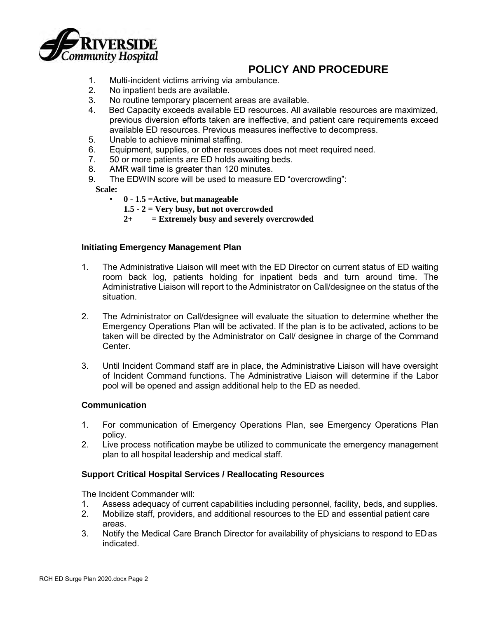

- 1. Multi-incident victims arriving via ambulance.
- 2. No inpatient beds are available.
- 3. No routine temporary placement areas are available.
- 4. Bed Capacity exceeds available ED resources. All available resources are maximized, previous diversion efforts taken are ineffective, and patient care requirements exceed available ED resources. Previous measures ineffective to decompress.
- 5. Unable to achieve minimal staffing.
- 6. Equipment, supplies, or other resources does not meet required need.<br>7. 50 or more patients are ED holds awaiting beds.
- 50 or more patients are ED holds awaiting beds.
- 8. AMR wall time is greater than 120 minutes.
- 9. The EDWIN score will be used to measure ED "overcrowding":

**Scale:**

- **0 - 1.5 =Active, but manageable**
	- **1.5 - 2 = Very busy, but not overcrowded**
	- **2+ = Extremely busy and severely overcrowded**

## **Initiating Emergency Management Plan**

- 1. The Administrative Liaison will meet with the ED Director on current status of ED waiting room back log, patients holding for inpatient beds and turn around time. The Administrative Liaison will report to the Administrator on Call/designee on the status of the situation.
- 2. The Administrator on Call/designee will evaluate the situation to determine whether the Emergency Operations Plan will be activated. If the plan is to be activated, actions to be taken will be directed by the Administrator on Call/ designee in charge of the Command Center.
- 3. Until Incident Command staff are in place, the Administrative Liaison will have oversight of Incident Command functions. The Administrative Liaison will determine if the Labor pool will be opened and assign additional help to the ED as needed.

## **Communication**

- 1. For communication of Emergency Operations Plan, see Emergency Operations Plan policy.
- 2. Live process notification maybe be utilized to communicate the emergency management plan to all hospital leadership and medical staff.

## **Support Critical Hospital Services / Reallocating Resources**

The Incident Commander will:

- 1. Assess adequacy of current capabilities including personnel, facility, beds, and supplies.
- 2. Mobilize staff, providers, and additional resources to the ED and essential patient care areas.
- 3. Notify the Medical Care Branch Director for availability of physicians to respond to EDas indicated.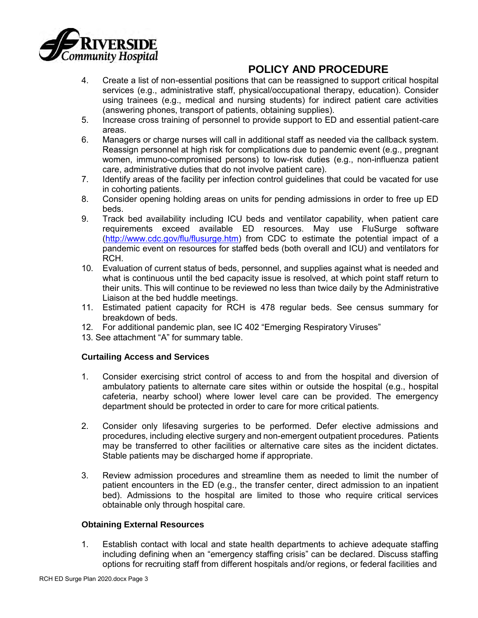

- 4. Create a list of non-essential positions that can be reassigned to support critical hospital services (e.g., administrative staff, physical/occupational therapy, education). Consider using trainees (e.g., medical and nursing students) for indirect patient care activities (answering phones, transport of patients, obtaining supplies).
- 5. Increase cross training of personnel to provide support to ED and essential patient-care areas.
- 6. Managers or charge nurses will call in additional staff as needed via the callback system. Reassign personnel at high risk for complications due to pandemic event (e.g., pregnant women, immuno-compromised persons) to low-risk duties (e.g., non-influenza patient care, administrative duties that do not involve patient care).
- 7. Identify areas of the facility per infection control guidelines that could be vacated for use in cohorting patients.
- 8. Consider opening holding areas on units for pending admissions in order to free up ED beds.
- 9. Track bed availability including ICU beds and ventilator capability, when patient care requirements exceed available ED resources. May use FluSurge software [\(http://www.cdc.gov/flu/flusurge.htm\)](http://www.cdc.gov/flu/flusurge.htm) from CDC to estimate the potential impact of a pandemic event on resources for staffed beds (both overall and ICU) and ventilators for RCH.
- 10. Evaluation of current status of beds, personnel, and supplies against what is needed and what is continuous until the bed capacity issue is resolved, at which point staff return to their units. This will continue to be reviewed no less than twice daily by the Administrative Liaison at the bed huddle meetings.
- 11. Estimated patient capacity for RCH is 478 regular beds. See census summary for breakdown of beds.
- 12. For additional pandemic plan, see IC 402 "Emerging Respiratory Viruses"
- 13. See attachment "A" for summary table.

## **Curtailing Access and Services**

- 1. Consider exercising strict control of access to and from the hospital and diversion of ambulatory patients to alternate care sites within or outside the hospital (e.g., hospital cafeteria, nearby school) where lower level care can be provided. The emergency department should be protected in order to care for more critical patients.
- 2. Consider only lifesaving surgeries to be performed. Defer elective admissions and procedures, including elective surgery and non-emergent outpatient procedures. Patients may be transferred to other facilities or alternative care sites as the incident dictates. Stable patients may be discharged home if appropriate.
- 3. Review admission procedures and streamline them as needed to limit the number of patient encounters in the ED (e.g., the transfer center, direct admission to an inpatient bed). Admissions to the hospital are limited to those who require critical services obtainable only through hospital care.

## **Obtaining External Resources**

1. Establish contact with local and state health departments to achieve adequate staffing including defining when an "emergency staffing crisis" can be declared. Discuss staffing options for recruiting staff from different hospitals and/or regions, or federal facilities and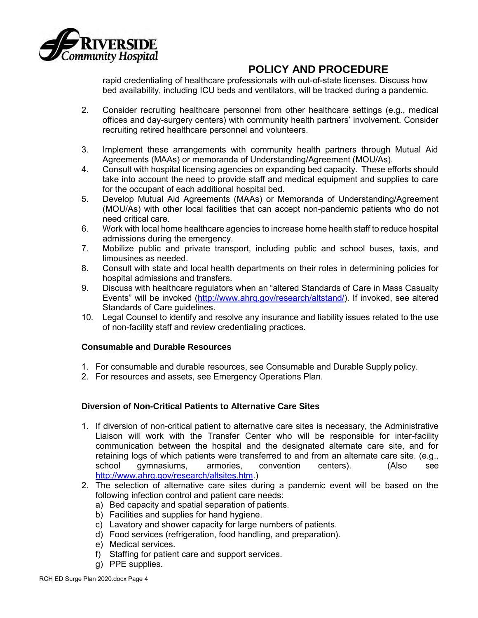

rapid credentialing of healthcare professionals with out-of-state licenses. Discuss how bed availability, including ICU beds and ventilators, will be tracked during a pandemic.

- 2. Consider recruiting healthcare personnel from other healthcare settings (e.g., medical offices and day-surgery centers) with community health partners' involvement. Consider recruiting retired healthcare personnel and volunteers.
- 3. Implement these arrangements with community health partners through Mutual Aid Agreements (MAAs) or memoranda of Understanding/Agreement (MOU/As).
- 4. Consult with hospital licensing agencies on expanding bed capacity. These efforts should take into account the need to provide staff and medical equipment and supplies to care for the occupant of each additional hospital bed.
- 5. Develop Mutual Aid Agreements (MAAs) or Memoranda of Understanding/Agreement (MOU/As) with other local facilities that can accept non-pandemic patients who do not need critical care.
- 6. Work with local home healthcare agencies to increase home health staff to reduce hospital admissions during the emergency.
- 7. Mobilize public and private transport, including public and school buses, taxis, and limousines as needed.
- 8. Consult with state and local health departments on their roles in determining policies for hospital admissions and transfers.
- 9. Discuss with healthcare regulators when an "altered Standards of Care in Mass Casualty Events" will be invoked [\(http://www.ahrq.gov/research/altstand/\)](http://www.ahrq.gov/research/altstand/). If invoked, see altered Standards of Care guidelines.
- 10. Legal Counsel to identify and resolve any insurance and liability issues related to the use of non-facility staff and review credentialing practices.

## **Consumable and Durable Resources**

- 1. For consumable and durable resources, see Consumable and Durable Supply policy.
- 2. For resources and assets, see Emergency Operations Plan.

## **Diversion of Non-Critical Patients to Alternative Care Sites**

- 1. If diversion of non-critical patient to alternative care sites is necessary, the Administrative Liaison will work with the Transfer Center who will be responsible for inter-facility communication between the hospital and the designated alternate care site, and for retaining logs of which patients were transferred to and from an alternate care site. (e.g., school gymnasiums, armories, convention centers). (Also se[e](http://www.ahrq.gov/research/altsites.htm) [http://www.ahrq.gov/research/altsites.htm.](http://www.ahrq.gov/research/altsites.htm))
- 2. The selection of alternative care sites during a pandemic event will be based on the following infection control and patient care needs:
	- a) Bed capacity and spatial separation of patients.
	- b) Facilities and supplies for hand hygiene.
	- c) Lavatory and shower capacity for large numbers of patients.
	- d) Food services (refrigeration, food handling, and preparation).
	- e) Medical services.
	- f) Staffing for patient care and support services.
	- g) PPE supplies.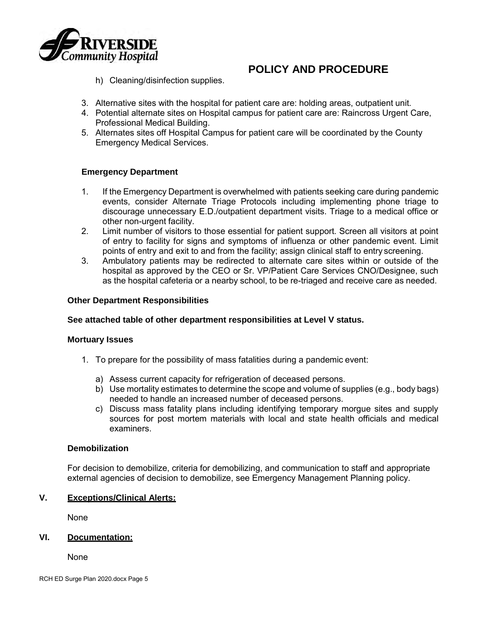

h) Cleaning/disinfection supplies.

- 3. Alternative sites with the hospital for patient care are: holding areas, outpatient unit.
- 4. Potential alternate sites on Hospital campus for patient care are: Raincross Urgent Care, Professional Medical Building.
- 5. Alternates sites off Hospital Campus for patient care will be coordinated by the County Emergency Medical Services.

## **Emergency Department**

- 1. If the Emergency Department is overwhelmed with patients seeking care during pandemic events, consider Alternate Triage Protocols including implementing phone triage to discourage unnecessary E.D./outpatient department visits. Triage to a medical office or other non-urgent facility.
- 2. Limit number of visitors to those essential for patient support. Screen all visitors at point of entry to facility for signs and symptoms of influenza or other pandemic event. Limit points of entry and exit to and from the facility; assign clinical staff to entry screening.
- 3. Ambulatory patients may be redirected to alternate care sites within or outside of the hospital as approved by the CEO or Sr. VP/Patient Care Services CNO/Designee, such as the hospital cafeteria or a nearby school, to be re-triaged and receive care as needed.

## **Other Department Responsibilities**

## **See attached table of other department responsibilities at Level V status.**

#### **Mortuary Issues**

- 1. To prepare for the possibility of mass fatalities during a pandemic event:
	- a) Assess current capacity for refrigeration of deceased persons.
	- b) Use mortality estimates to determine the scope and volume of supplies (e.g., body bags) needed to handle an increased number of deceased persons.
	- c) Discuss mass fatality plans including identifying temporary morgue sites and supply sources for post mortem materials with local and state health officials and medical examiners.

## **Demobilization**

For decision to demobilize, criteria for demobilizing, and communication to staff and appropriate external agencies of decision to demobilize, see Emergency Management Planning policy.

## **V. Exceptions/Clinical Alerts:**

None

## **VI. Documentation:**

None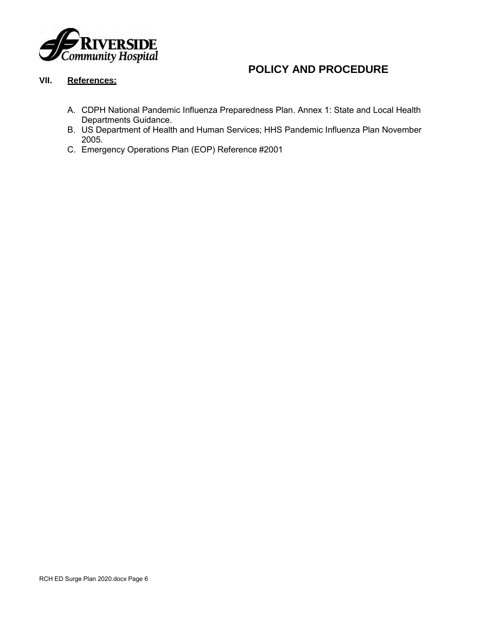

## **VII. References:**

- A. CDPH National Pandemic Influenza Preparedness Plan. Annex 1: State and Local Health Departments Guidance.
- B. US Department of Health and Human Services; HHS Pandemic Influenza Plan November 2005.
- C. Emergency Operations Plan (EOP) Reference #2001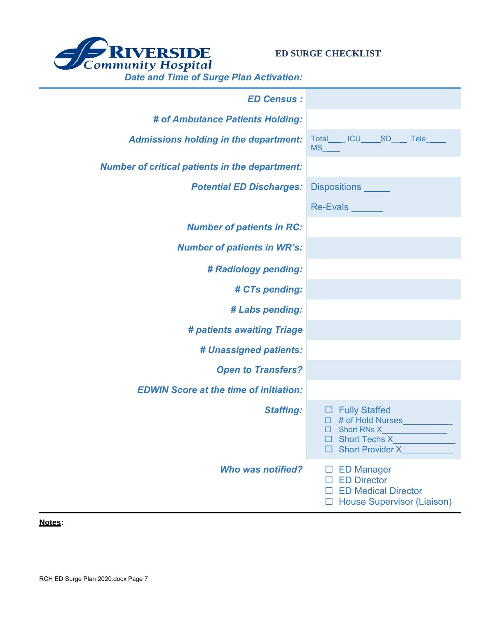

**ED SURGE CHECKLIST**

| <u>sato and Third of Sargo Fran Abuvation.</u>        |                                                                                                                           |
|-------------------------------------------------------|---------------------------------------------------------------------------------------------------------------------------|
| <b>ED Census:</b>                                     |                                                                                                                           |
| # of Ambulance Patients Holding:                      |                                                                                                                           |
| <b>Admissions holding in the department:</b>          | Total_____ ICU_____SD____ Tele_____                                                                                       |
| <b>Number of critical patients in the department:</b> |                                                                                                                           |
| <b>Potential ED Discharges:</b>                       | Dispositions ______                                                                                                       |
|                                                       | Re-Evals                                                                                                                  |
| <b>Number of patients in RC:</b>                      |                                                                                                                           |
| <b>Number of patients in WR's:</b>                    |                                                                                                                           |
| # Radiology pending:                                  |                                                                                                                           |
| # CTs pending:                                        |                                                                                                                           |
| # Labs pending:                                       |                                                                                                                           |
| # patients awaiting Triage                            |                                                                                                                           |
| # Unassigned patients:                                |                                                                                                                           |
| <b>Open to Transfers?</b>                             |                                                                                                                           |
| <b>EDWIN Score at the time of initiation:</b>         |                                                                                                                           |
| <b>Staffing:</b>                                      | $\Box$ Fully Staffed<br>$\Box$ # of Hold Nurses<br>$\Box$ Short RNs X<br>$\Box$ Short Provider X                          |
| <b>Who was notified?</b>                              | $\square$ ED Manager<br><b>ED Director</b><br>П<br><b>D</b> ED Medical Director<br><b>House Supervisor (Liaison)</b><br>ப |

**Notes:**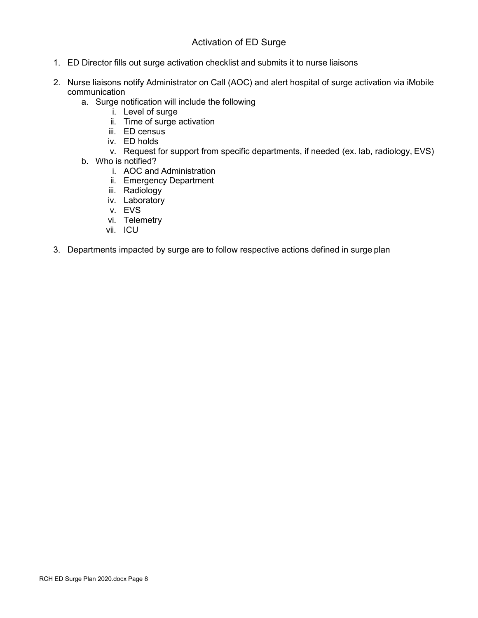## Activation of ED Surge

- 1. ED Director fills out surge activation checklist and submits it to nurse liaisons
- 2. Nurse liaisons notify Administrator on Call (AOC) and alert hospital of surge activation via iMobile communication
	- a. Surge notification will include the following
		- i. Level of surge
		- ii. Time of surge activation
		- iii. ED census
		- iv. ED holds
		- v. Request for support from specific departments, if needed (ex. lab, radiology, EVS)
	- b. Who is notified?
		- i. AOC and Administration
		- ii. Emergency Department
		- iii. Radiology
		- iv. Laboratory
		- v. EVS
		- vi. Telemetry
		- vii. ICU
- 3. Departments impacted by surge are to follow respective actions defined in surge plan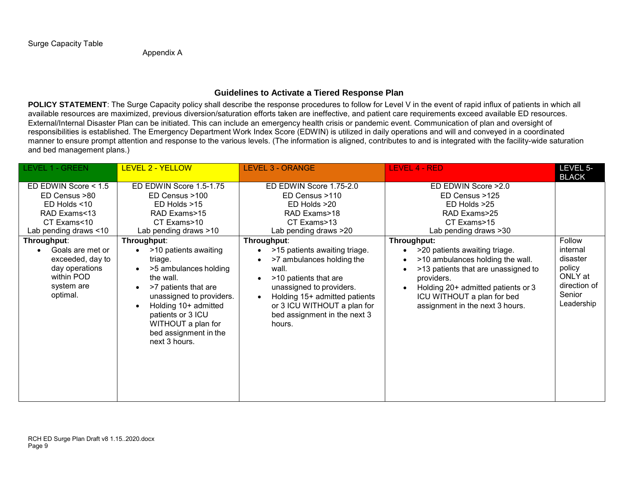Appendix A

## **Guidelines to Activate a Tiered Response Plan**

POLICY STATEMENT: The Surge Capacity policy shall describe the response procedures to follow for Level V in the event of rapid influx of patients in which all available resources are maximized, previous diversion/saturation efforts taken are ineffective, and patient care requirements exceed available ED resources. External/Internal Disaster Plan can be initiated. This can include an emergency health crisis or pandemic event. Communication of plan and oversight of responsibilities is established. The Emergency Department Work Index Score (EDWIN) is utilized in daily operations and will and conveyed in a coordinated manner to ensure prompt attention and response to the various levels. (The information is aligned, contributes to and is integrated with the facility-wide saturation and bed management plans.)

| <b>LEVEL 1 - GREEN</b>                                                                                                                                                                                                                      | <b>LEVEL 2 - YELLOW</b>                                                                                                                                                                                                                                                                                                                                                     | <b>LEVEL 3 - ORANGE</b>                                                                                                                                                                                                                                                                                                                                                | <b>LEVEL 4 - RED</b>                                                                                                                                                                                                                                                                                                                                           | LEVEL 5-<br><b>BLACK</b>                                                                    |
|---------------------------------------------------------------------------------------------------------------------------------------------------------------------------------------------------------------------------------------------|-----------------------------------------------------------------------------------------------------------------------------------------------------------------------------------------------------------------------------------------------------------------------------------------------------------------------------------------------------------------------------|------------------------------------------------------------------------------------------------------------------------------------------------------------------------------------------------------------------------------------------------------------------------------------------------------------------------------------------------------------------------|----------------------------------------------------------------------------------------------------------------------------------------------------------------------------------------------------------------------------------------------------------------------------------------------------------------------------------------------------------------|---------------------------------------------------------------------------------------------|
| ED EDWIN Score < 1.5<br>ED Census >80<br>ED Holds <10<br>RAD Exams<13<br>CT Exams<10<br>Lab pending draws <10<br>Throughput:<br>Goals are met or<br>$\bullet$<br>exceeded, day to<br>day operations<br>within POD<br>system are<br>optimal. | ED EDWIN Score 1.5-1.75<br>ED Census >100<br>ED Holds >15<br>RAD Exams>15<br>CT Exams>10<br>Lab pending draws >10<br>Throughput:<br>>10 patients awaiting<br>triage.<br>>5 ambulances holding<br>the wall.<br>>7 patients that are<br>unassigned to providers.<br>Holding 10+ admitted<br>patients or 3 ICU<br>WITHOUT a plan for<br>bed assignment in the<br>next 3 hours. | ED EDWIN Score 1.75-2.0<br>ED Census >110<br>ED Holds >20<br>RAD Exams>18<br>CT Exams>13<br>Lab pending draws >20<br>Throughput:<br>>15 patients awaiting triage.<br>>7 ambulances holding the<br>wall.<br>>10 patients that are<br>unassigned to providers.<br>Holding 15+ admitted patients<br>or 3 ICU WITHOUT a plan for<br>bed assignment in the next 3<br>hours. | ED EDWIN Score > 2.0<br>ED Census >125<br>ED Holds >25<br>RAD Exams>25<br>CT Exams>15<br>Lab pending draws >30<br>Throughput:<br>>20 patients awaiting triage.<br>>10 ambulances holding the wall.<br>>13 patients that are unassigned to<br>providers.<br>Holding 20+ admitted patients or 3<br>ICU WITHOUT a plan for bed<br>assignment in the next 3 hours. | Follow<br>internal<br>disaster<br>policy<br>ONLY at<br>direction of<br>Senior<br>Leadership |